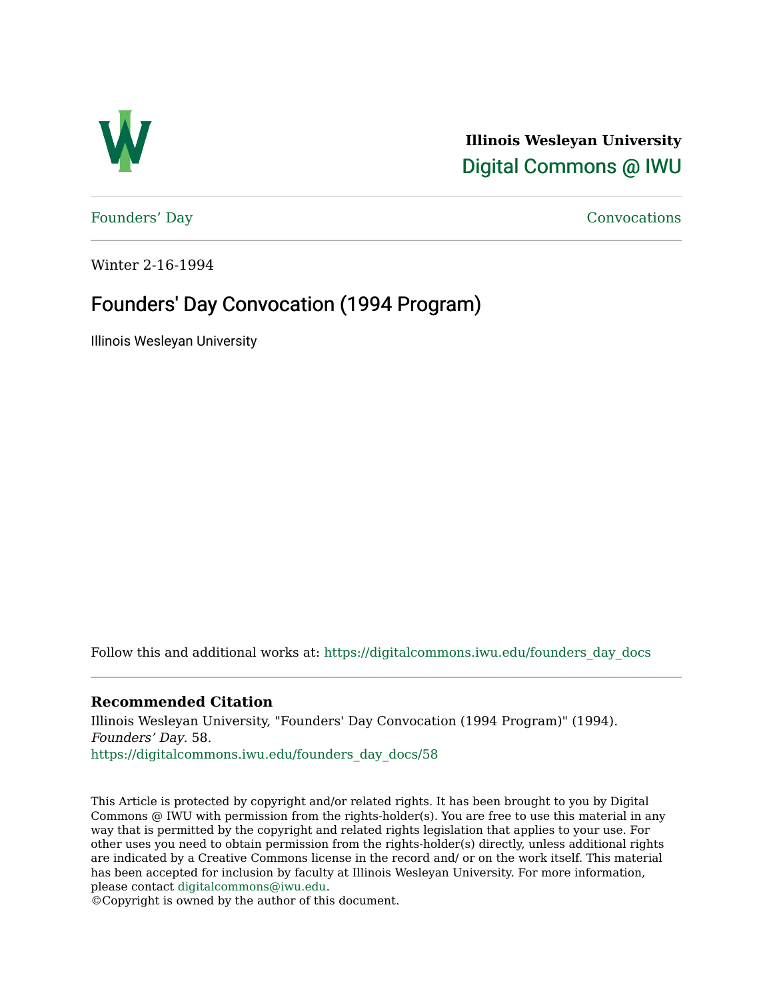

**Illinois Wesleyan University**  [Digital Commons @ IWU](https://digitalcommons.iwu.edu/) 

[Founders' Day](https://digitalcommons.iwu.edu/founders_day_docs) [Convocations](https://digitalcommons.iwu.edu/convocations_docs) 

Winter 2-16-1994

## Founders' Day Convocation (1994 Program)

Illinois Wesleyan University

Follow this and additional works at: [https://digitalcommons.iwu.edu/founders\\_day\\_docs](https://digitalcommons.iwu.edu/founders_day_docs?utm_source=digitalcommons.iwu.edu%2Ffounders_day_docs%2F58&utm_medium=PDF&utm_campaign=PDFCoverPages) 

#### **Recommended Citation**

Illinois Wesleyan University, "Founders' Day Convocation (1994 Program)" (1994). Founders' Day. 58. [https://digitalcommons.iwu.edu/founders\\_day\\_docs/58](https://digitalcommons.iwu.edu/founders_day_docs/58?utm_source=digitalcommons.iwu.edu%2Ffounders_day_docs%2F58&utm_medium=PDF&utm_campaign=PDFCoverPages)

This Article is protected by copyright and/or related rights. It has been brought to you by Digital Commons @ IWU with permission from the rights-holder(s). You are free to use this material in any way that is permitted by the copyright and related rights legislation that applies to your use. For other uses you need to obtain permission from the rights-holder(s) directly, unless additional rights are indicated by a Creative Commons license in the record and/ or on the work itself. This material has been accepted for inclusion by faculty at Illinois Wesleyan University. For more information, please contact [digitalcommons@iwu.edu.](mailto:digitalcommons@iwu.edu)

©Copyright is owned by the author of this document.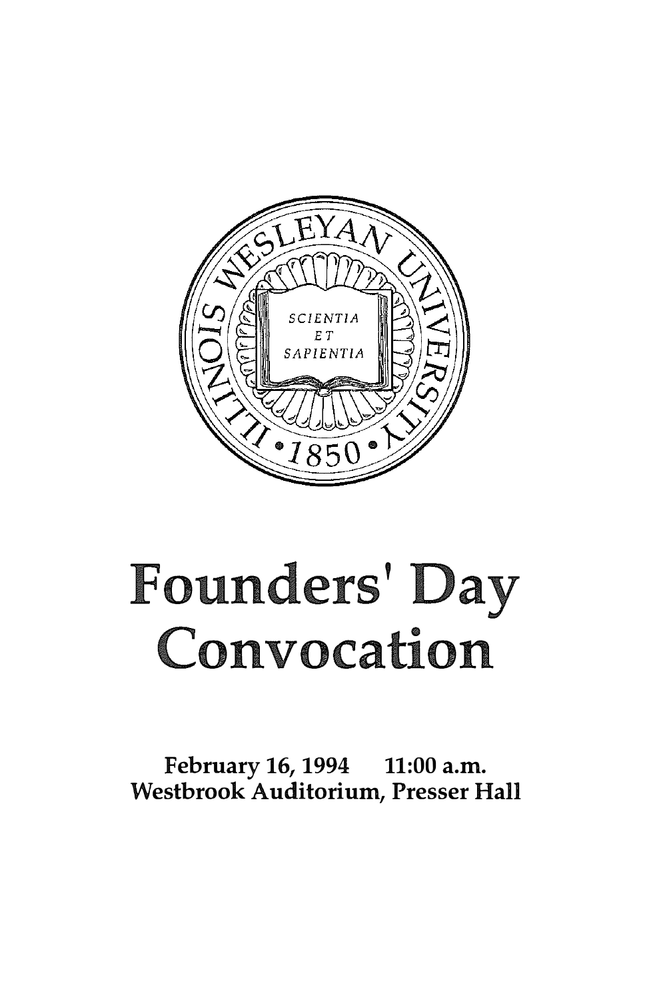

# Founders' Day Convocation

February 16, 1994 11:00 a.m. Westbrook Auditorium, Presser Hall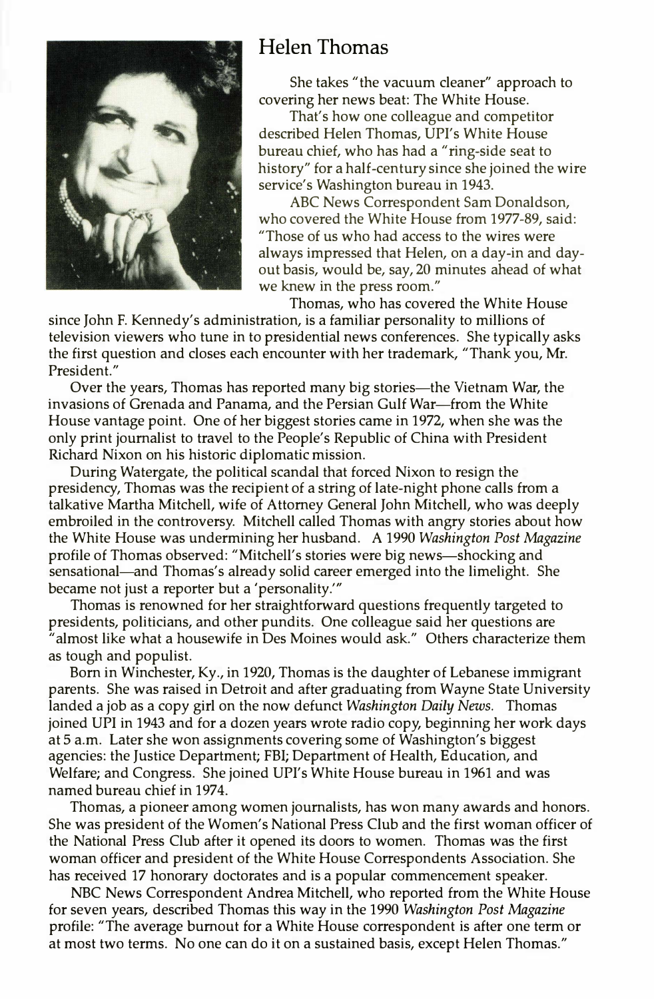

### Helen Thomas

She takes "the vacuum cleaner" approach to covering her news beat: The White House.

That's how one colleague and competitor described Helen Thomas, UPI's White House bureau chief, who has had a "ring-side seat to history" for a half-century since she joined the wire service's Washington bureau in 1943.

ABC News Correspondent Sam Donaldson, who covered the White House from 1977-89, said: "Those of us who had access to the wires were always impressed that Helen, on a day-in and dayout basis, would be, say, 20 minutes ahead of what we knew in the press room."

Thomas, who has covered the White House

since John F. Kennedy's administration, is a familiar personality to millions of television viewers who tune in to presidential news conferences. She typically asks the first question and closes each encounter with her trademark, "Thank you, Mr. President."

Over the years, Thomas has reported many big stories—the Vietnam War, the invasions of Grenada and Panama, and the Persian Gulf War-from the White House vantage point. One of her biggest stories came in 1972, when she was the only print journalist to travel to the People's Republic of China with President Richard Nixon on his historic diplomatic mission.

During Watergate, the political scandal that forced Nixon to resign the presidency, Thomas was the recipient of a string of late-night phone calls from a talkative Martha Mitchell, wife of Attorney General John Mitchell, who was deeply embroiled in the controversy. Mitchell called Thomas with angry stories about how the White House was undermining her husband. A 1990 Washington Post Magazine profile of Thomas observed: "Mitchell's stories were big news-shocking and sensational—and Thomas's already solid career emerged into the limelight. She became not just a reporter but a 'personality."'

Thomas is renowned for her straightforward questions frequently targeted to presidents, politicians, and other pundits. One colleague said her questions are almost like what a housewife in Des Moines would ask." Others characterize them as tough and populist.

Born in Winchester, Ky., in 1920, Thomas is the daughter of Lebanese immigrant parents. She was raised in Detroit and after graduating from Wayne State University landed a job as a copy girl on the now defunct Washington Daily News. Thomas joined UPI in 1943 and for a dozen years wrote radio copy, beginning her work days at 5 a.m. Later she won assignments covering some of Washington's biggest agencies: the Justice Department; FBI; Department of Health, Education, and Welfare; and Congress. She joined UPI's White House bureau in 1961 and was named bureau chief in 1974.

Thomas, a pioneer among women journalists, has won many awards and honors. She was president of the Women's National Press Club and the first woman officer of the National Press Club after it opened its doors to women. Thomas was the first woman officer and president of the White House Correspondents Association. She has received 17 honorary doctorates and is a popular commencement speaker.

NBC News Correspondent Andrea Mitchell, who reported from the White House for seven years, described Thomas this way in the 1990 Washington Post Magazine profile: "The average burnout for a White House correspondent is after one term or at most two terms. No one can do it on a sustained basis, except Helen Thomas."